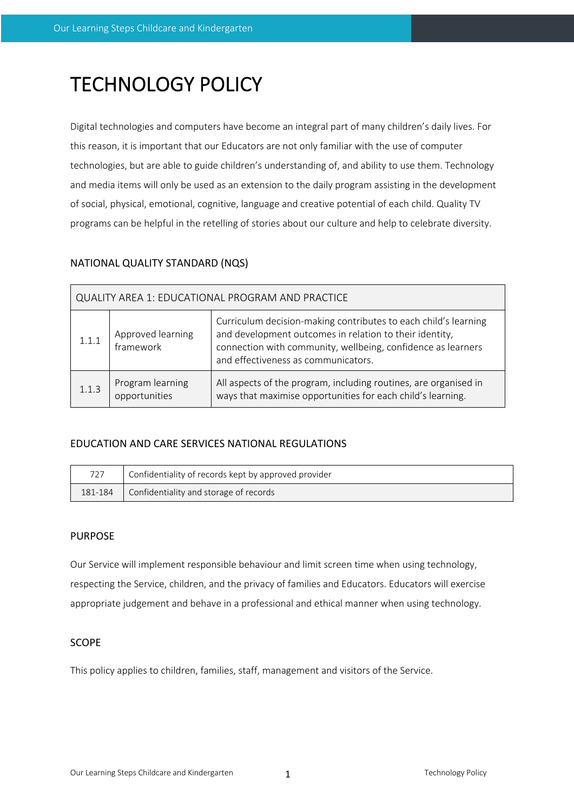# TECHNOLOGY POLICY

Digital technologies and computers have become an integral part of many children's daily lives. For this reason, it is important that our Educators are not only familiar with the use of computer technologies, but are able to guide children's understanding of, and ability to use them. Technology and media items will only be used as an extension to the daily program assisting in the development of social, physical, emotional, cognitive, language and creative potential of each child. Quality TV programs can be helpful in the retelling of stories about our culture and help to celebrate diversity.

# NATIONAL QUALITY STANDARD (NQS)

| QUALITY AREA 1: EDUCATIONAL PROGRAM AND PRACTICE |                                   |                                                                                                                                                                                                                                   |  |  |  |  |
|--------------------------------------------------|-----------------------------------|-----------------------------------------------------------------------------------------------------------------------------------------------------------------------------------------------------------------------------------|--|--|--|--|
| 1.1.1                                            | Approved learning<br>framework    | Curriculum decision-making contributes to each child's learning<br>and development outcomes in relation to their identity,<br>connection with community, wellbeing, confidence as learners<br>and effectiveness as communicators. |  |  |  |  |
| 1.1.3                                            | Program learning<br>opportunities | All aspects of the program, including routines, are organised in<br>ways that maximise opportunities for each child's learning.                                                                                                   |  |  |  |  |

## EDUCATION AND CARE SERVICES NATIONAL REGULATIONS

| 727                                               | Confidentiality of records kept by approved provider |
|---------------------------------------------------|------------------------------------------------------|
| Confidentiality and storage of records<br>181-184 |                                                      |

## PURPOSE

Our Service will implement responsible behaviour and limit screen time when using technology, respecting the Service, children, and the privacy of families and Educators. Educators will exercise appropriate judgement and behave in a professional and ethical manner when using technology.

## **SCOPE**

This policy applies to children, families, staff, management and visitors of the Service.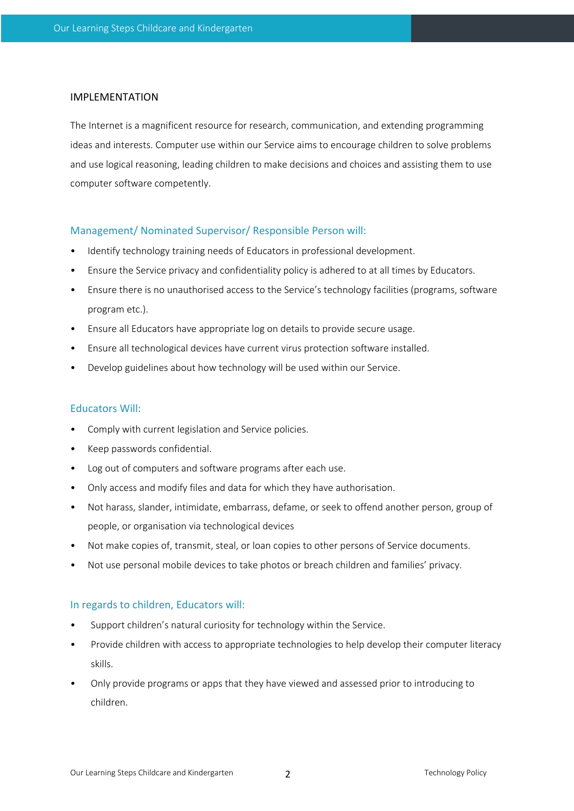#### IMPLEMENTATION

The Internet is a magnificent resource for research, communication, and extending programming ideas and interests. Computer use within our Service aims to encourage children to solve problems and use logical reasoning, leading children to make decisions and choices and assisting them to use computer software competently.

#### Management/ Nominated Supervisor/ Responsible Person will:

- Identify technology training needs of Educators in professional development.
- Ensure the Service privacy and confidentiality policy is adhered to at all times by Educators.
- Ensure there is no unauthorised access to the Service's technology facilities (programs, software program etc.).
- Ensure all Educators have appropriate log on details to provide secure usage.
- Ensure all technological devices have current virus protection software installed.
- Develop guidelines about how technology will be used within our Service.

### Educators Will:

- Comply with current legislation and Service policies.
- Keep passwords confidential.
- Log out of computers and software programs after each use.
- Only access and modify files and data for which they have authorisation.
- Not harass, slander, intimidate, embarrass, defame, or seek to offend another person, group of people, or organisation via technological devices
- Not make copies of, transmit, steal, or loan copies to other persons of Service documents.
- Not use personal mobile devices to take photos or breach children and families' privacy.

#### In regards to children, Educators will:

- Support children's natural curiosity for technology within the Service.
- Provide children with access to appropriate technologies to help develop their computer literacy skills.
- Only provide programs or apps that they have viewed and assessed prior to introducing to children.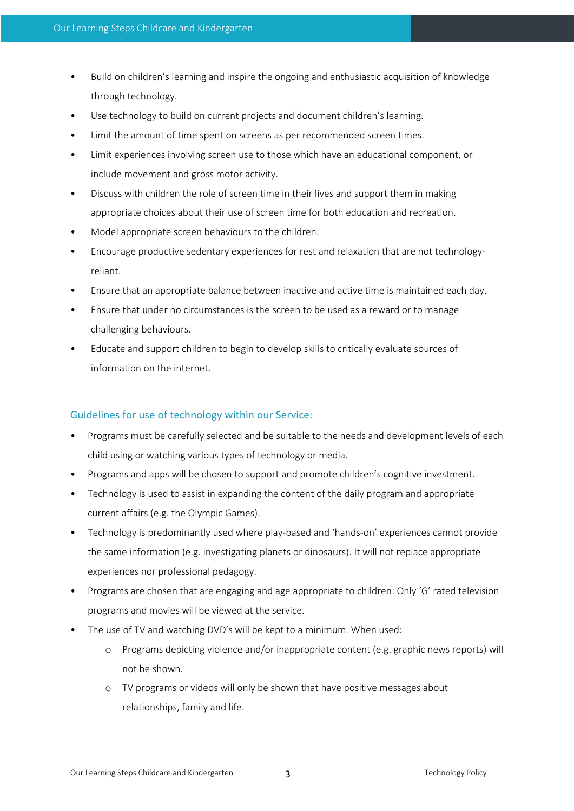- Build on children's learning and inspire the ongoing and enthusiastic acquisition of knowledge through technology.
- Use technology to build on current projects and document children's learning.
- Limit the amount of time spent on screens as per recommended screen times.
- Limit experiences involving screen use to those which have an educational component, or include movement and gross motor activity.
- Discuss with children the role of screen time in their lives and support them in making appropriate choices about their use of screen time for both education and recreation.
- Model appropriate screen behaviours to the children.
- Encourage productive sedentary experiences for rest and relaxation that are not technologyreliant.
- Ensure that an appropriate balance between inactive and active time is maintained each day.
- Ensure that under no circumstances is the screen to be used as a reward or to manage challenging behaviours.
- Educate and support children to begin to develop skills to critically evaluate sources of information on the internet.

## Guidelines for use of technology within our Service:

- Programs must be carefully selected and be suitable to the needs and development levels of each child using or watching various types of technology or media.
- Programs and apps will be chosen to support and promote children's cognitive investment.
- Technology is used to assist in expanding the content of the daily program and appropriate current affairs (e.g. the Olympic Games).
- Technology is predominantly used where play-based and 'hands-on' experiences cannot provide the same information (e.g. investigating planets or dinosaurs). It will not replace appropriate experiences nor professional pedagogy.
- Programs are chosen that are engaging and age appropriate to children: Only 'G' rated television programs and movies will be viewed at the service.
- The use of TV and watching DVD's will be kept to a minimum. When used:
	- o Programs depicting violence and/or inappropriate content (e.g. graphic news reports) will not be shown.
	- o TV programs or videos will only be shown that have positive messages about relationships, family and life.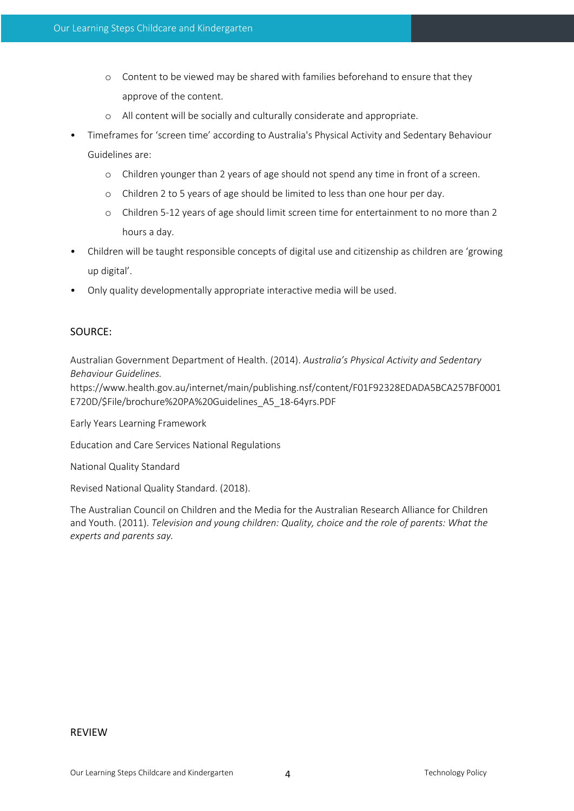- o Content to be viewed may be shared with families beforehand to ensure that they approve of the content.
- o All content will be socially and culturally considerate and appropriate.
- Timeframes for 'screen time' according to Australia's Physical Activity and Sedentary Behaviour Guidelines are:
	- o Children younger than 2 years of age should not spend any time in front of a screen.
	- o Children 2 to 5 years of age should be limited to less than one hour per day.
	- o Children 5-12 years of age should limit screen time for entertainment to no more than 2 hours a day.
- Children will be taught responsible concepts of digital use and citizenship as children are 'growing up digital'.
- Only quality developmentally appropriate interactive media will be used.

## SOURCE:

Australian Government Department of Health. (2014). *Australia's Physical Activity and Sedentary Behaviour Guidelines.* 

https://www.health.gov.au/internet/main/publishing.nsf/content/F01F92328EDADA5BCA257BF0001 E720D/\$File/brochure%20PA%20Guidelines\_A5\_18-64yrs.PDF

Early Years Learning Framework

Education and Care Services National Regulations

National Quality Standard

Revised National Quality Standard. (2018).

The Australian Council on Children and the Media for the Australian Research Alliance for Children and Youth. (2011). *Television and young children: Quality, choice and the role of parents: What the experts and parents say.*

#### REVIEW